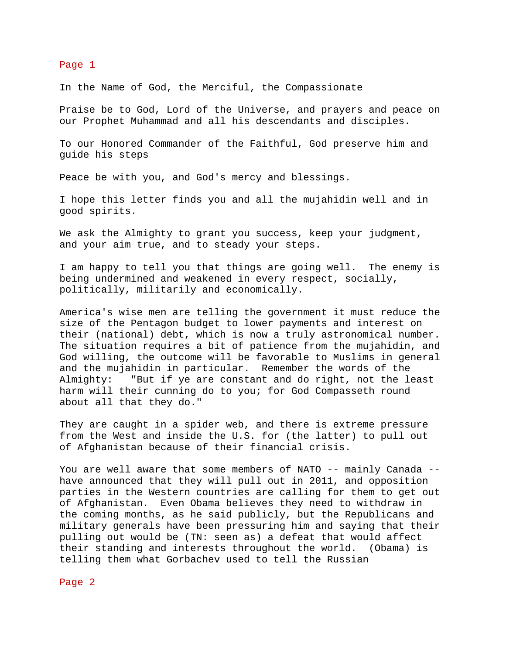## Page 1

In the Name of God, the Merciful, the Compassionate

Praise be to God, Lord of the Universe, and prayers and peace on our Prophet Muhammad and all his descendants and disciples.

To our Honored Commander of the Faithful, God preserve him and guide his steps

Peace be with you, and God's mercy and blessings.

I hope this letter finds you and all the mujahidin well and in good spirits.

We ask the Almighty to grant you success, keep your judgment, and your aim true, and to steady your steps.

I am happy to tell you that things are going well. The enemy is being undermined and weakened in every respect, socially, politically, militarily and economically.

America's wise men are telling the government it must reduce the size of the Pentagon budget to lower payments and interest on their (national) debt, which is now a truly astronomical number. The situation requires a bit of patience from the mujahidin, and God willing, the outcome will be favorable to Muslims in general and the mujahidin in particular. Remember the words of the Almighty: "But if ye are constant and do right, not the least harm will their cunning do to you; for God Compasseth round about all that they do."

They are caught in a spider web, and there is extreme pressure from the West and inside the U.S. for (the latter) to pull out of Afghanistan because of their financial crisis.

You are well aware that some members of NATO -- mainly Canada -have announced that they will pull out in 2011, and opposition parties in the Western countries are calling for them to get out of Afghanistan. Even Obama believes they need to withdraw in the coming months, as he said publicly, but the Republicans and military generals have been pressuring him and saying that their pulling out would be (TN: seen as) a defeat that would affect their standing and interests throughout the world. (Obama) is telling them what Gorbachev used to tell the Russian

Page 2